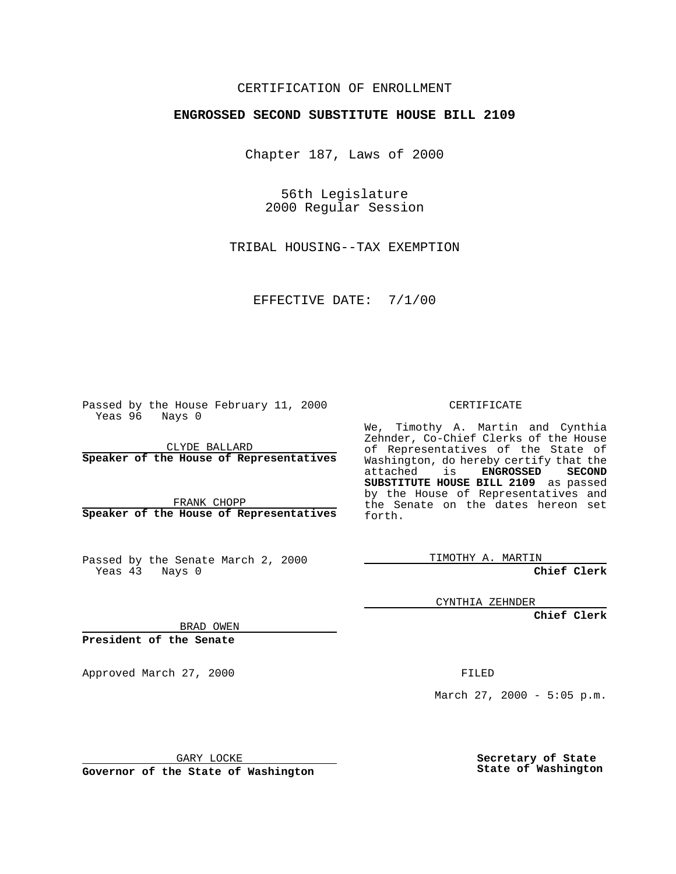## CERTIFICATION OF ENROLLMENT

## **ENGROSSED SECOND SUBSTITUTE HOUSE BILL 2109**

Chapter 187, Laws of 2000

56th Legislature 2000 Regular Session

TRIBAL HOUSING--TAX EXEMPTION

EFFECTIVE DATE: 7/1/00

Passed by the House February 11, 2000 Yeas 96 Nays 0

CLYDE BALLARD **Speaker of the House of Representatives**

FRANK CHOPP **Speaker of the House of Representatives**

Passed by the Senate March 2, 2000 Yeas 43 Nays 0

CERTIFICATE

We, Timothy A. Martin and Cynthia Zehnder, Co-Chief Clerks of the House of Representatives of the State of Washington, do hereby certify that the attached is **ENGROSSED** SECOND attached is **SUBSTITUTE HOUSE BILL 2109** as passed by the House of Representatives and the Senate on the dates hereon set forth.

TIMOTHY A. MARTIN

**Chief Clerk**

CYNTHIA ZEHNDER

**Chief Clerk**

BRAD OWEN

**President of the Senate**

Approved March 27, 2000 FILED

March 27, 2000 - 5:05 p.m.

GARY LOCKE

**Governor of the State of Washington**

**Secretary of State State of Washington**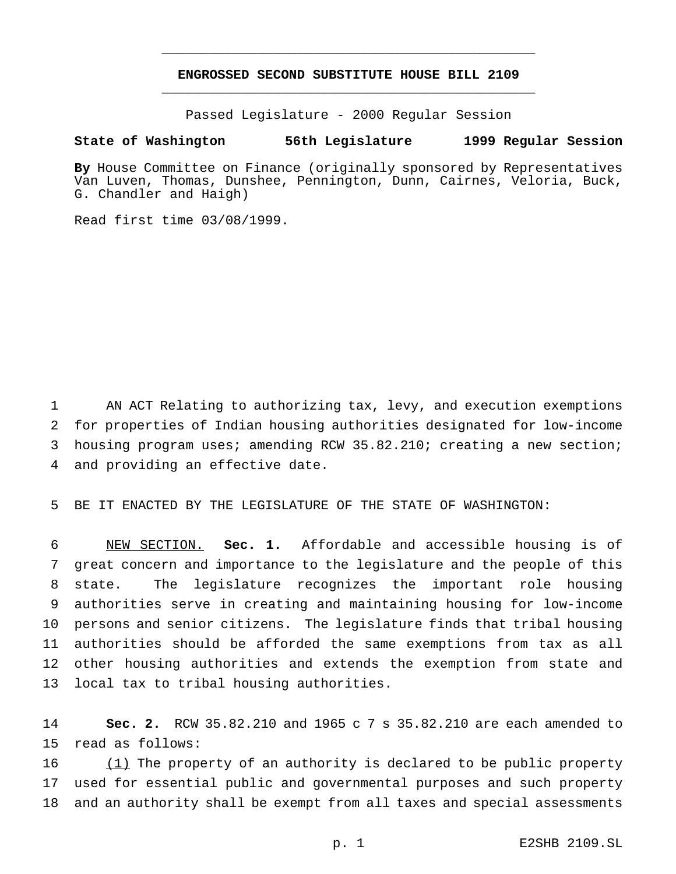## **ENGROSSED SECOND SUBSTITUTE HOUSE BILL 2109** \_\_\_\_\_\_\_\_\_\_\_\_\_\_\_\_\_\_\_\_\_\_\_\_\_\_\_\_\_\_\_\_\_\_\_\_\_\_\_\_\_\_\_\_\_\_\_

\_\_\_\_\_\_\_\_\_\_\_\_\_\_\_\_\_\_\_\_\_\_\_\_\_\_\_\_\_\_\_\_\_\_\_\_\_\_\_\_\_\_\_\_\_\_\_

Passed Legislature - 2000 Regular Session

## **State of Washington 56th Legislature 1999 Regular Session**

**By** House Committee on Finance (originally sponsored by Representatives Van Luven, Thomas, Dunshee, Pennington, Dunn, Cairnes, Veloria, Buck, G. Chandler and Haigh)

Read first time 03/08/1999.

 AN ACT Relating to authorizing tax, levy, and execution exemptions for properties of Indian housing authorities designated for low-income housing program uses; amending RCW 35.82.210; creating a new section; and providing an effective date.

BE IT ENACTED BY THE LEGISLATURE OF THE STATE OF WASHINGTON:

 NEW SECTION. **Sec. 1.** Affordable and accessible housing is of great concern and importance to the legislature and the people of this state. The legislature recognizes the important role housing authorities serve in creating and maintaining housing for low-income persons and senior citizens. The legislature finds that tribal housing authorities should be afforded the same exemptions from tax as all other housing authorities and extends the exemption from state and local tax to tribal housing authorities.

 **Sec. 2.** RCW 35.82.210 and 1965 c 7 s 35.82.210 are each amended to read as follows:

 $(1)$  The property of an authority is declared to be public property used for essential public and governmental purposes and such property and an authority shall be exempt from all taxes and special assessments